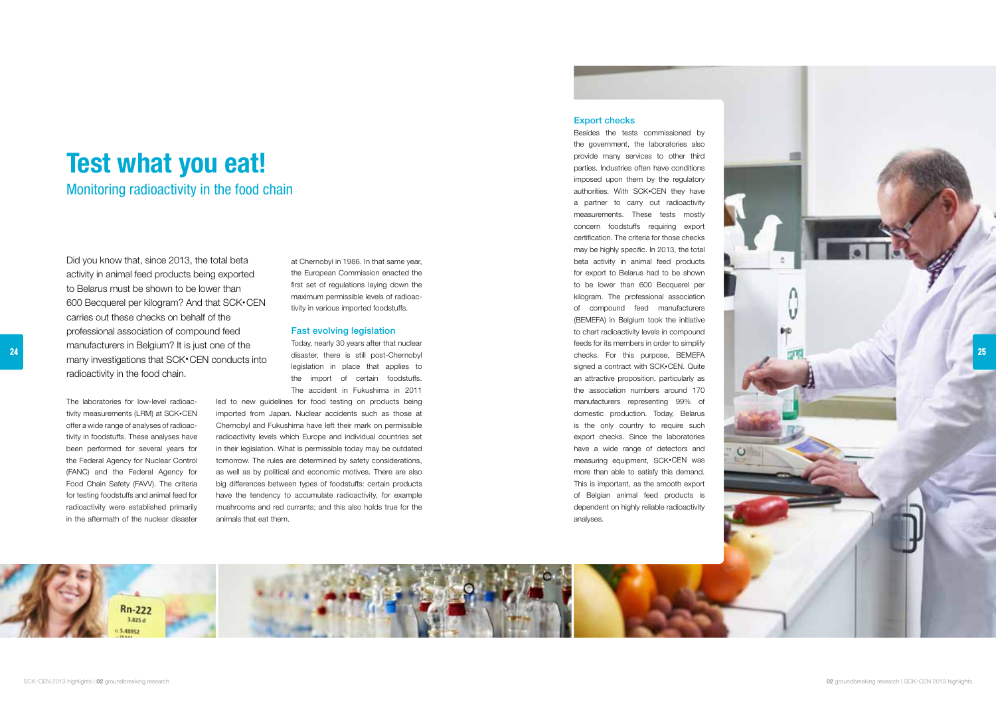

The laboratories for low-level radioac tivity measurements (LRM) at SCK •CEN offer a wide range of analyses of radioac tivity in foodstuffs. These analyses have been performed for several years for the Federal Agency for Nuclear Control (FANC) and the Federal Agency for Food Chain Safety (FAVV). The criteria for testing foodstuffs and animal feed for radioactivity were established primarily in the aftermath of the nuclear disaster

at Chernobyl in 1986. In that same year, the European Commission enacted the first set of regulations laying down the maximum permissible levels of radioac tivity in various imported foodstuffs.

#### Fast evolving legislation

Today, nearly 30 years after that nuclear disaster, there is still post-Chernobyl legislation in place that applies to the import of certain foodstuffs. The accident in Fukushima in 2011

led to new guidelines for food testing on products being imported from Japan. Nuclear accidents such as those at Chernobyl and Fukushima have left their mark on permissible radioactivity levels which Europe and individual countries set in their legislation. What is permissible today may be outdated tomorrow. The rules are determined by safety considerations, as well as by political and economic motives. There are also big differences between types of foodstuffs: certain products have the tendency to accumulate radioactivity, for example mushrooms and red currants; and this also holds true for the animals that eat them.

## Export checks

Besides the tests commissioned by the government, the laboratories also provide many services to other third parties. Industries often have conditions imposed upon them by the regulatory authorities. With SCK •CEN they have a partner to carry out radioactivity measurements. These tests mostly concern foodstuffs requiring export certification. The criteria for those checks may be highly specific. In 2013, the total beta activity in animal feed products for export to Belarus had to be shown to be lower than 600 Becquerel per kilogram. The professional association of compound feed manufacturers (BEMEFA) in Belgium took the initiative to chart radioactivity levels in compound feeds for its members in order to simplify checks. For this purpose, BEMEFA signed a contract with SCK •CEN. Quite an attractive proposition, particularly as the association numbers around 170 manufacturers representing 99% of domestic production. Today, Belarus is the only country to require such export checks. Since the laboratories have a wide range of detectors and measuring equipment, SCK •CEN was more than able to satisfy this demand. This is important, as the smooth export of Belgian animal feed products is dependent on highly reliable radioactivity analyses.

 $\circ$ 



# Test what you eat!

Monitoring radioactivity in the food chain

Did you know that, since 2013, the total beta activity in animal feed products being exported to Belarus must be shown to be lower than 600 Becquerel per kilogram? And that SCK •CEN carries out these checks on behalf of the professional association of compound feed manufacturers in Belgium? It is just one of the many investigations that SCK •CEN conducts into radioactivity in the food chain.